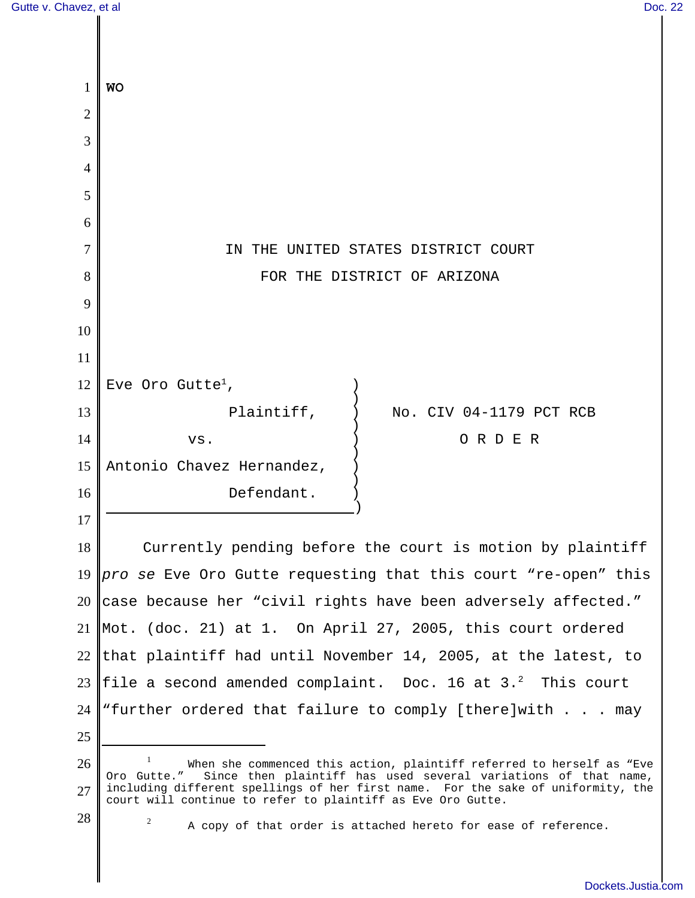$\parallel$ 

 $\parallel$ 

| Gutte v. Chavez, et al |                                                                                                                                                                                                                               |                                                                | Doc. 22 |
|------------------------|-------------------------------------------------------------------------------------------------------------------------------------------------------------------------------------------------------------------------------|----------------------------------------------------------------|---------|
|                        |                                                                                                                                                                                                                               |                                                                |         |
|                        |                                                                                                                                                                                                                               |                                                                |         |
| 1                      | <b>WO</b>                                                                                                                                                                                                                     |                                                                |         |
| $\overline{2}$         |                                                                                                                                                                                                                               |                                                                |         |
| 3                      |                                                                                                                                                                                                                               |                                                                |         |
| 4                      |                                                                                                                                                                                                                               |                                                                |         |
| 5                      |                                                                                                                                                                                                                               |                                                                |         |
| 6                      |                                                                                                                                                                                                                               |                                                                |         |
| 7                      | THE UNITED STATES DISTRICT COURT<br>IN                                                                                                                                                                                        |                                                                |         |
| 8                      | FOR THE DISTRICT OF ARIZONA                                                                                                                                                                                                   |                                                                |         |
| 9                      |                                                                                                                                                                                                                               |                                                                |         |
| 10                     |                                                                                                                                                                                                                               |                                                                |         |
| 11                     |                                                                                                                                                                                                                               |                                                                |         |
| 12                     | Eve Oro Gutte <sup>1</sup> ,                                                                                                                                                                                                  |                                                                |         |
| 13                     | Plaintiff,                                                                                                                                                                                                                    | No. CIV 04-1179 PCT RCB                                        |         |
| 14                     | VS.                                                                                                                                                                                                                           | ORDER                                                          |         |
| 15                     | Antonio Chavez Hernandez,                                                                                                                                                                                                     |                                                                |         |
| 16                     | Defendant.                                                                                                                                                                                                                    |                                                                |         |
| 17                     |                                                                                                                                                                                                                               |                                                                |         |
| 18                     | Currently pending before the court is motion by plaintiff                                                                                                                                                                     |                                                                |         |
| 19                     | pro se Eve Oro Gutte requesting that this court "re-open" this                                                                                                                                                                |                                                                |         |
| 20                     | case because her "civil rights have been adversely affected."                                                                                                                                                                 |                                                                |         |
| 21                     | $\parallel$ Mot. (doc. 21) at 1. On April 27, 2005, this court ordered                                                                                                                                                        |                                                                |         |
| 22                     | that plaintiff had until November 14, 2005, at the latest, to                                                                                                                                                                 |                                                                |         |
| 23                     | file a second amended complaint. Doc. 16 at 3. <sup>2</sup> This court                                                                                                                                                        |                                                                |         |
| 24                     | "further ordered that failure to comply [there]with $\ldots$ . may                                                                                                                                                            |                                                                |         |
| 25                     |                                                                                                                                                                                                                               |                                                                |         |
| 26                     | When she commenced this action, plaintiff referred to herself as "Eve                                                                                                                                                         |                                                                |         |
| 27                     | Oro Gutte." Since then plaintiff has used several variations of that name,<br>including different spellings of her first name. For the sake of uniformity, the<br>court will continue to refer to plaintiff as Eve Oro Gutte. |                                                                |         |
| 28                     | $\overline{2}$                                                                                                                                                                                                                | A copy of that order is attached hereto for ease of reference. |         |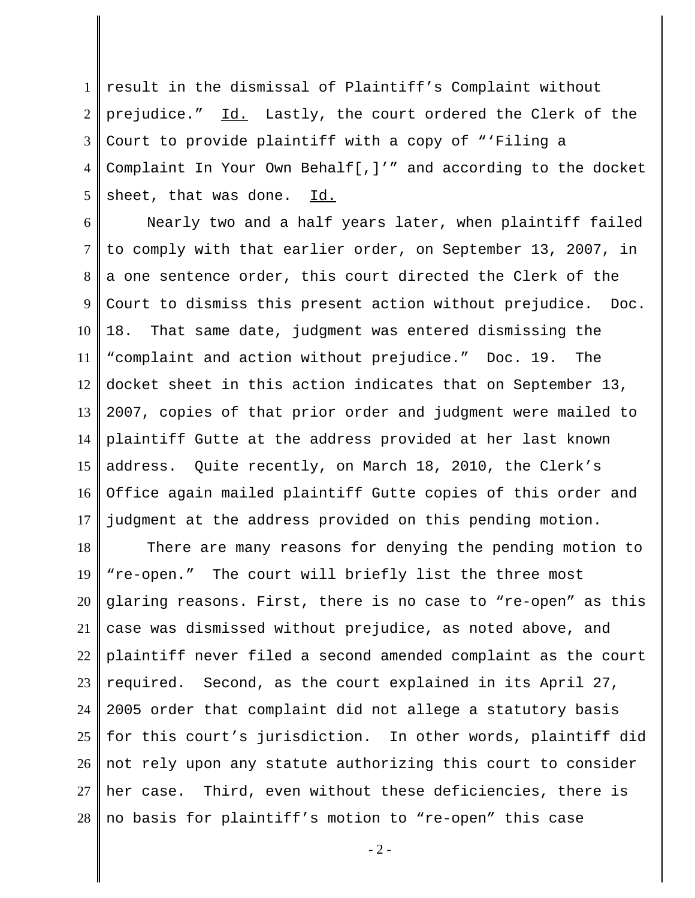1 result in the dismissal of Plaintiff's Complaint without 2 3 4 5 prejudice." Id. Lastly, the court ordered the Clerk of the Court to provide plaintiff with a copy of "'Filing a Complaint In Your Own Behalf[,]'" and according to the docket sheet, that was done. Id.

6 7 8 9 10 11 12 13 14 15 16 17 Nearly two and a half years later, when plaintiff failed to comply with that earlier order, on September 13, 2007, in a one sentence order, this court directed the Clerk of the Court to dismiss this present action without prejudice. Doc. 18. That same date, judgment was entered dismissing the "complaint and action without prejudice." Doc. 19. The docket sheet in this action indicates that on September 13, 2007, copies of that prior order and judgment were mailed to plaintiff Gutte at the address provided at her last known address. Quite recently, on March 18, 2010, the Clerk's Office again mailed plaintiff Gutte copies of this order and judgment at the address provided on this pending motion.

18 19 20 21 22 23 24 25 26 27 28 There are many reasons for denying the pending motion to "re-open." The court will briefly list the three most glaring reasons. First, there is no case to "re-open" as this case was dismissed without prejudice, as noted above, and plaintiff never filed a second amended complaint as the court required. Second, as the court explained in its April 27, 2005 order that complaint did not allege a statutory basis for this court's jurisdiction. In other words, plaintiff did not rely upon any statute authorizing this court to consider her case. Third, even without these deficiencies, there is no basis for plaintiff's motion to "re-open" this case

 $-2-$